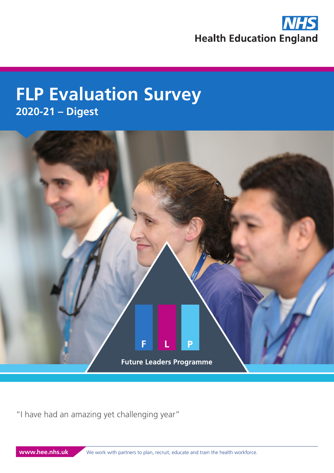

# **FLP Evaluation Survey 2020-21 – Digest**



"I have had an amazing yet challenging year"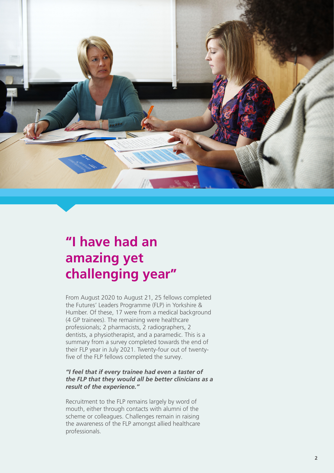

## **"I have had an amazing yet challenging year"**

From August 2020 to August 21, 25 fellows completed the Futures' Leaders Programme (FLP) in Yorkshire & Humber. Of these, 17 were from a medical background (4 GP trainees). The remaining were healthcare professionals; 2 pharmacists, 2 radiographers, 2 dentists, a physiotherapist, and a paramedic. This is a summary from a survey completed towards the end of their FLP year in July 2021. Twenty-four out of twentyfive of the FLP fellows completed the survey.

#### *"I feel that if every trainee had even a taster of the FLP that they would all be better clinicians as a result of the experience."*

Recruitment to the FLP remains largely by word of mouth, either through contacts with alumni of the scheme or colleagues. Challenges remain in raising the awareness of the FLP amongst allied healthcare professionals.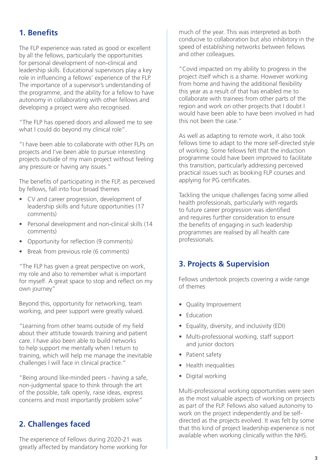### **1. Benefits**

The FLP experience was rated as good or excellent by all the fellows, particularly the opportunities for personal development of non-clinical and leadership skills. Educational supervisors play a key role in influencing a fellows' experience of the FLP. The importance of a supervisor's understanding of the programme, and the ability for a fellow to have autonomy in collaborating with other fellows and developing a project were also recognised.

"The FLP has opened doors and allowed me to see what I could do beyond my clinical role".

"I have been able to collaborate with other FLPs on projects and I've been able to pursue interesting projects outside of my main project without feeling any pressure or having any issues."

The benefits of participating in the FLP, as perceived by fellows, fall into four broad themes

- CV and career progression, development of leadership skills and future opportunities (17 comments)
- Personal development and non-clinical skills (14 comments)
- Opportunity for reflection (9 comments)
- Break from previous role (6 comments)

"The FLP has given a great perspective on work, my role and also to remember what is important for myself. A great space to stop and reflect on my own journey"

Beyond this, opportunity for networking, team working, and peer support were greatly valued.

"Learning from other teams outside of my field about their attitude towards training and patient care. I have also been able to build networks to help support me mentally when I return to training, which will help me manage the inevitable challenges I will face in clinical practice."

"Being around like-minded peers - having a safe, non-judgmental space to think through the art of the possible, talk openly, raise ideas, express concerns and most importantly problem solve"

#### **2. Challenges faced**

The experience of Fellows during 2020-21 was greatly affected by mandatory home working for much of the year. This was interpreted as both conducive to collaboration but also inhibitory in the speed of establishing networks between fellows and other colleagues.

"Covid impacted on my ability to progress in the project itself which is a shame. However working from home and having the additional flexibility this year as a result of that has enabled me to collaborate with trainees from other parts of the region and work on other projects that I doubt I would have been able to have been involved in had this not been the case."

As well as adapting to remote work, it also took fellows time to adapt to the more self-directed style of working. Some fellows felt that the induction programme could have been improved to facilitate this transition, particularly addressing perceived practical issues such as booking FLP courses and applying for PG certificates.

Tackling the unique challenges facing some allied health professionals, particularly with regards to future career progression was identified and requires further consideration to ensure the benefits of engaging in such leadership programmes are realised by all health care professionals.

#### **3. Projects & Supervision**

Fellows undertook projects covering a wide range of themes

- Quality Improvement
- Education
- Equality, diversity, and inclusivity (EDI)
- Multi-professional working, staff support and junior doctors
- Patient safety
- Health inequalities
- Digital working

Multi-professional working opportunities were seen as the most valuable aspects of working on projects as part of the FLP. Fellows also valued autonomy to work on the project independently and be selfdirected as the projects evolved. It was felt by some that this kind of project leadership experience is not available when working clinically within the NHS.